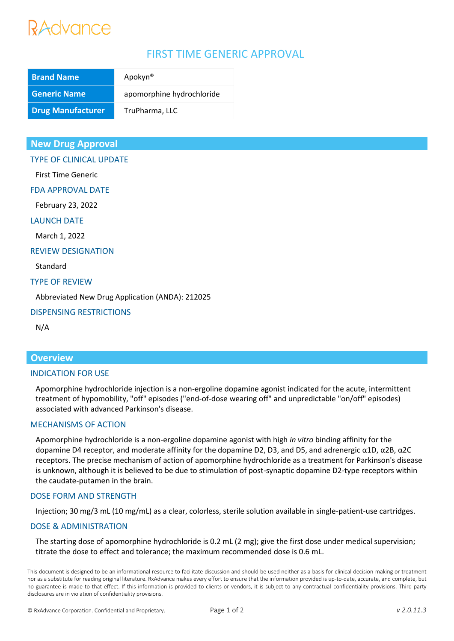# RAdvance

# FIRST TIME GENERIC APPROVAL

| <b>Brand Name</b>        | Apokyn <sup>®</sup>       |
|--------------------------|---------------------------|
| <b>Generic Name</b>      | apomorphine hydrochloride |
| <b>Drug Manufacturer</b> | TruPharma, LLC            |

# **New Drug Approval**

TYPE OF CLINICAL UPDATE

First Time Generic

FDA APPROVAL DATE

February 23, 2022

# LAUNCH DATE

March 1, 2022

### REVIEW DESIGNATION

Standard

#### TYPE OF REVIEW

Abbreviated New Drug Application (ANDA): 212025

# DISPENSING RESTRICTIONS

N/A

# **Overview**

#### INDICATION FOR USE

Apomorphine hydrochloride injection is a non-ergoline dopamine agonist indicated for the acute, intermittent treatment of hypomobility, "off" episodes ("end-of-dose wearing off" and unpredictable "on/off" episodes) associated with advanced Parkinson's disease.

# MECHANISMS OF ACTION

Apomorphine hydrochloride is a non-ergoline dopamine agonist with high *in vitro* binding affinity for the dopamine D4 receptor, and moderate affinity for the dopamine D2, D3, and D5, and adrenergic α1D, α2B, α2C receptors. The precise mechanism of action of apomorphine hydrochloride as a treatment for Parkinson's disease is unknown, although it is believed to be due to stimulation of post-synaptic dopamine D2-type receptors within the caudate-putamen in the brain.

# DOSE FORM AND STRENGTH

Injection; 30 mg/3 mL (10 mg/mL) as a clear, colorless, sterile solution available in single-patient-use cartridges.

# DOSE & ADMINISTRATION

The starting dose of apomorphine hydrochloride is 0.2 mL (2 mg); give the first dose under medical supervision; titrate the dose to effect and tolerance; the maximum recommended dose is 0.6 mL.

This document is designed to be an informational resource to facilitate discussion and should be used neither as a basis for clinical decision-making or treatment nor as a substitute for reading original literature. RxAdvance makes every effort to ensure that the information provided is up-to-date, accurate, and complete, but no guarantee is made to that effect. If this information is provided to clients or vendors, it is subject to any contractual confidentiality provisions. Third-party disclosures are in violation of confidentiality provisions.